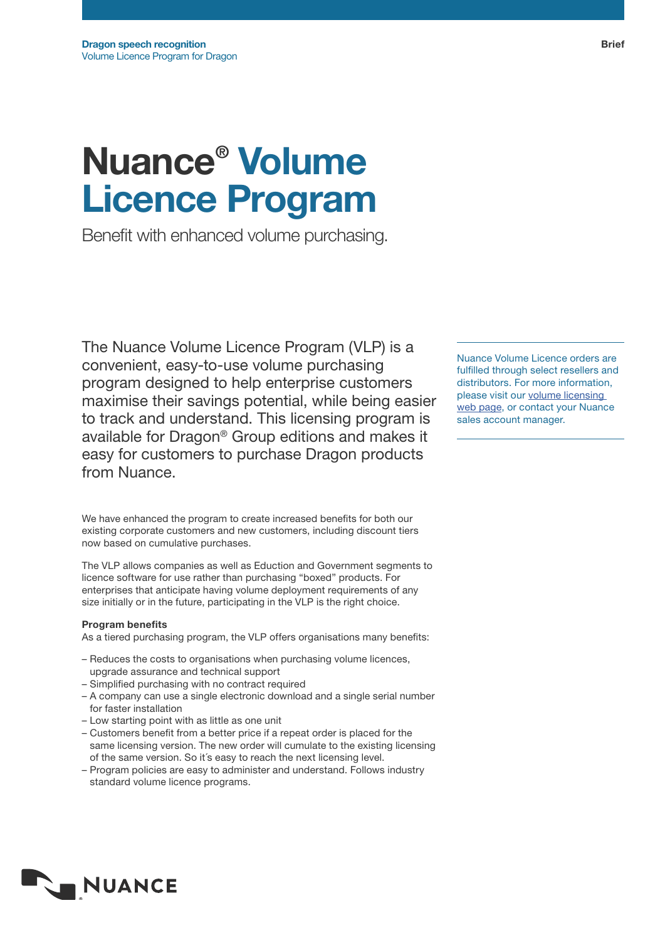# Nuance® Volume Licence Program

Benefit with enhanced volume purchasing.

The Nuance Volume Licence Program (VLP) is a convenient, easy-to-use volume purchasing program designed to help enterprise customers maximise their savings potential, while being easier to track and understand. This licensing program is available for Dragon® Group editions and makes it easy for customers to purchase Dragon products from Nuance.

We have enhanced the program to create increased benefits for both our existing corporate customers and new customers, including discount tiers now based on cumulative purchases.

The VLP allows companies as well as Eduction and Government segments to licence software for use rather than purchasing "boxed" products. For enterprises that anticipate having volume deployment requirements of any size initially or in the future, participating in the VLP is the right choice.

## Program benefits

As a tiered purchasing program, the VLP offers organisations many benefits:

- Reduces the costs to organisations when purchasing volume licences, upgrade assurance and technical support
- Simplified purchasing with no contract required
- A company can use a single electronic download and a single serial number for faster installation
- Low starting point with as little as one unit
- Customers benefit from a better price if a repeat order is placed for the same licensing version. The new order will cumulate to the existing licensing of the same version. So it´s easy to reach the next licensing level.
- Program policies are easy to administer and understand. Follows industry standard volume licence programs.

Nuance Volume Licence orders are fulfilled through select resellers and distributors. For more information, please visit our volume licensing web page, or contact your Nuance sales account manager.